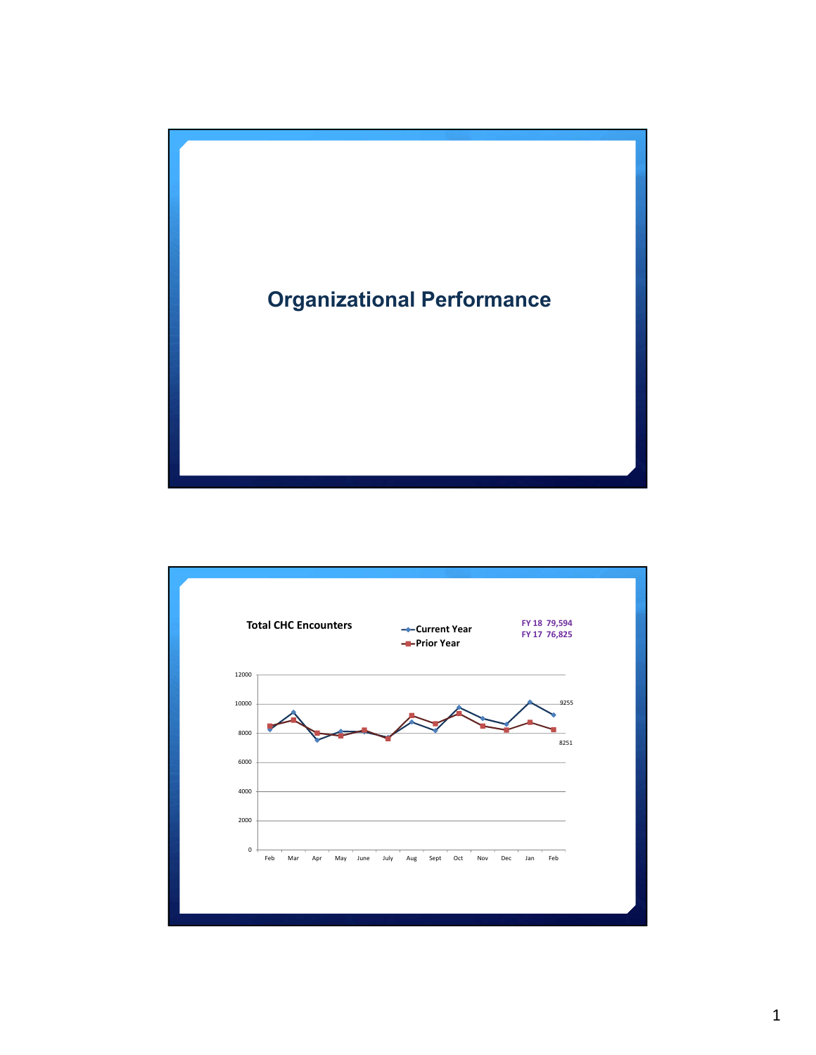

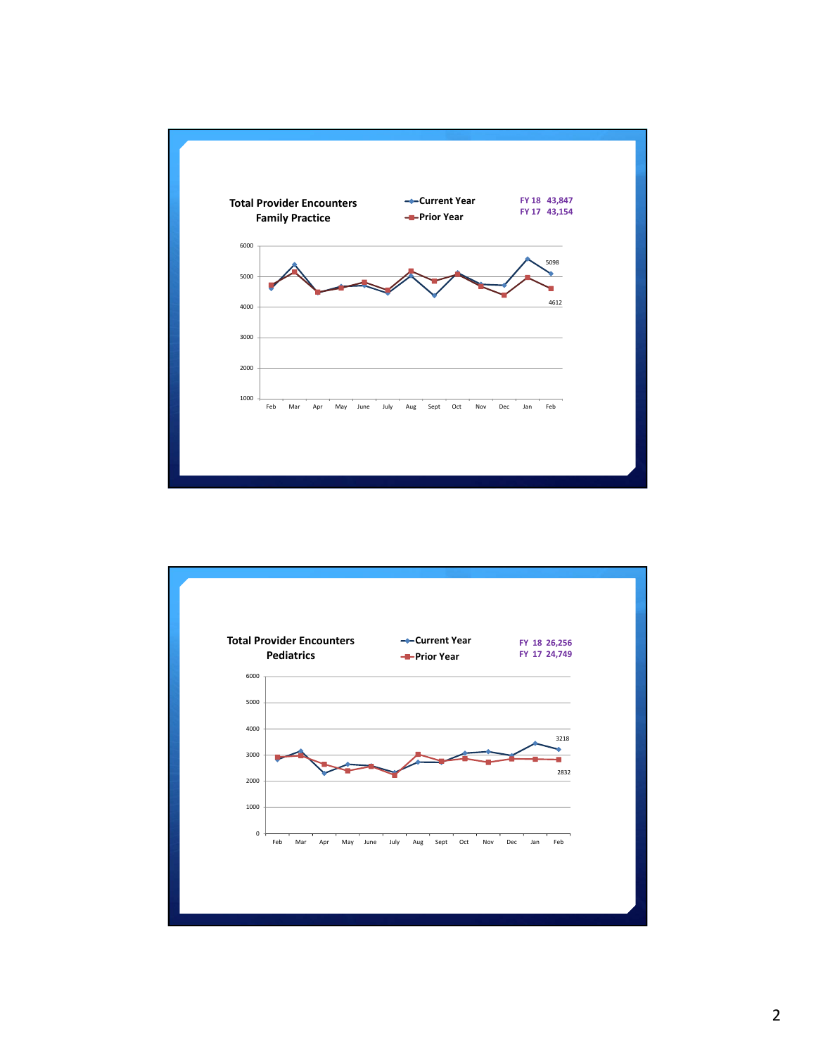

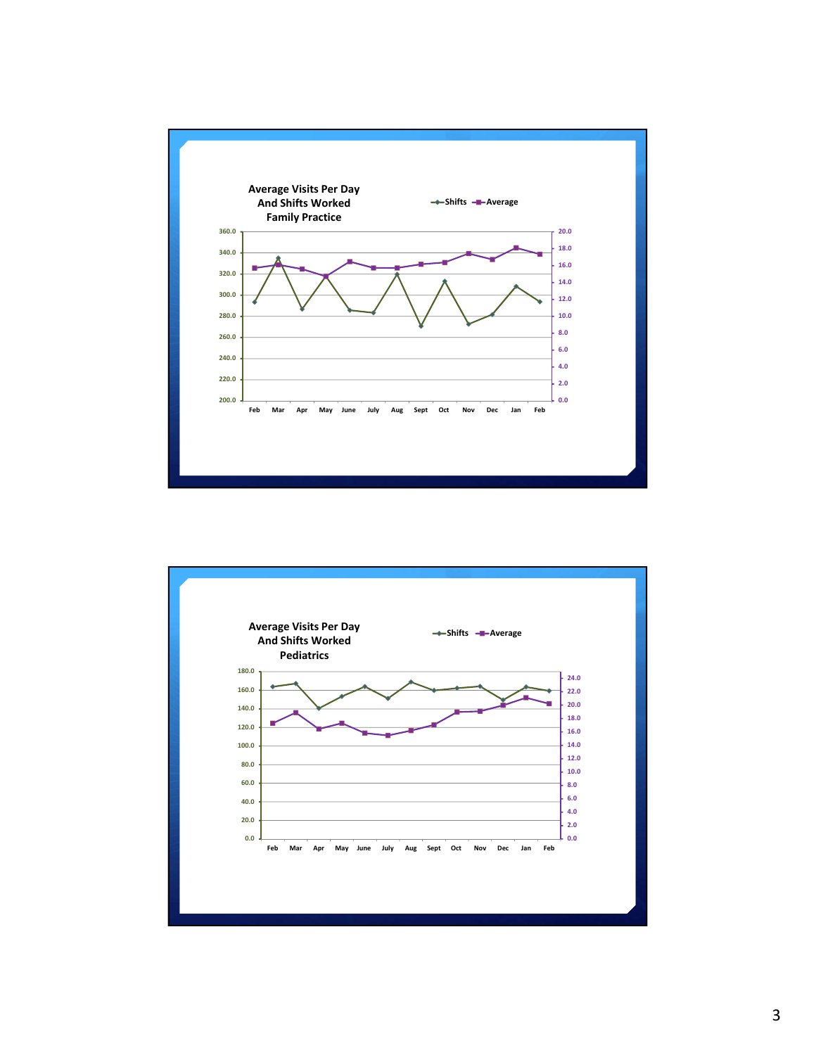

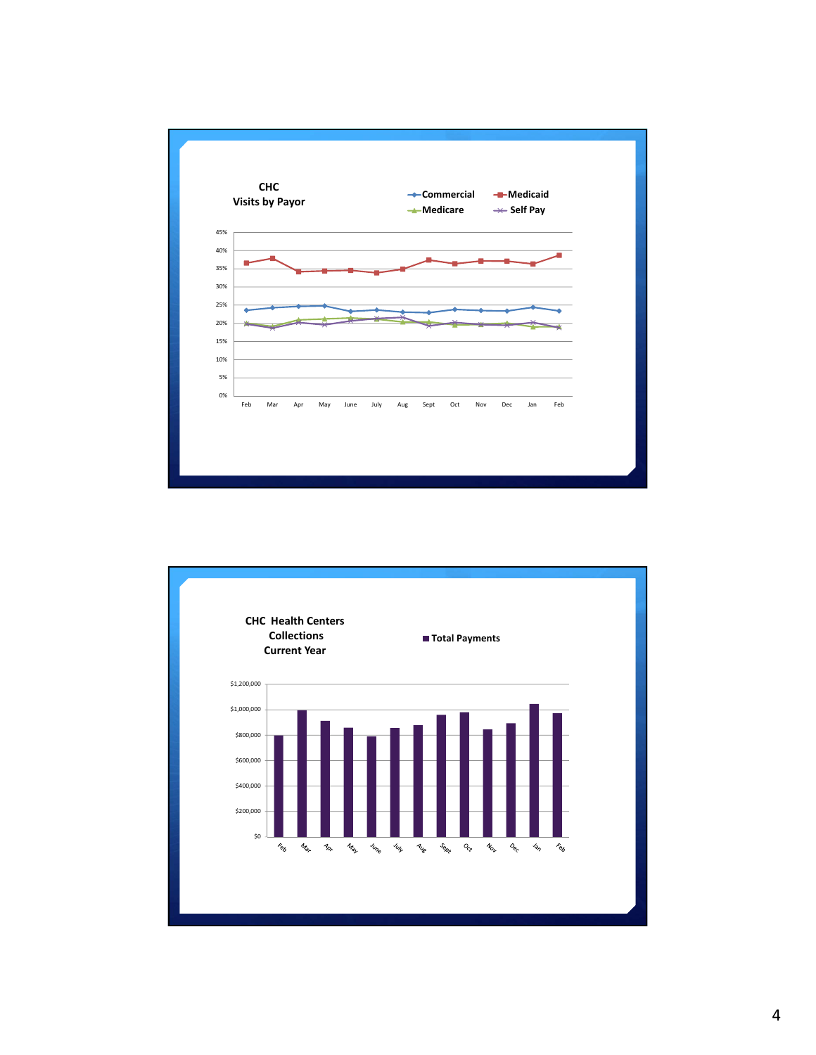

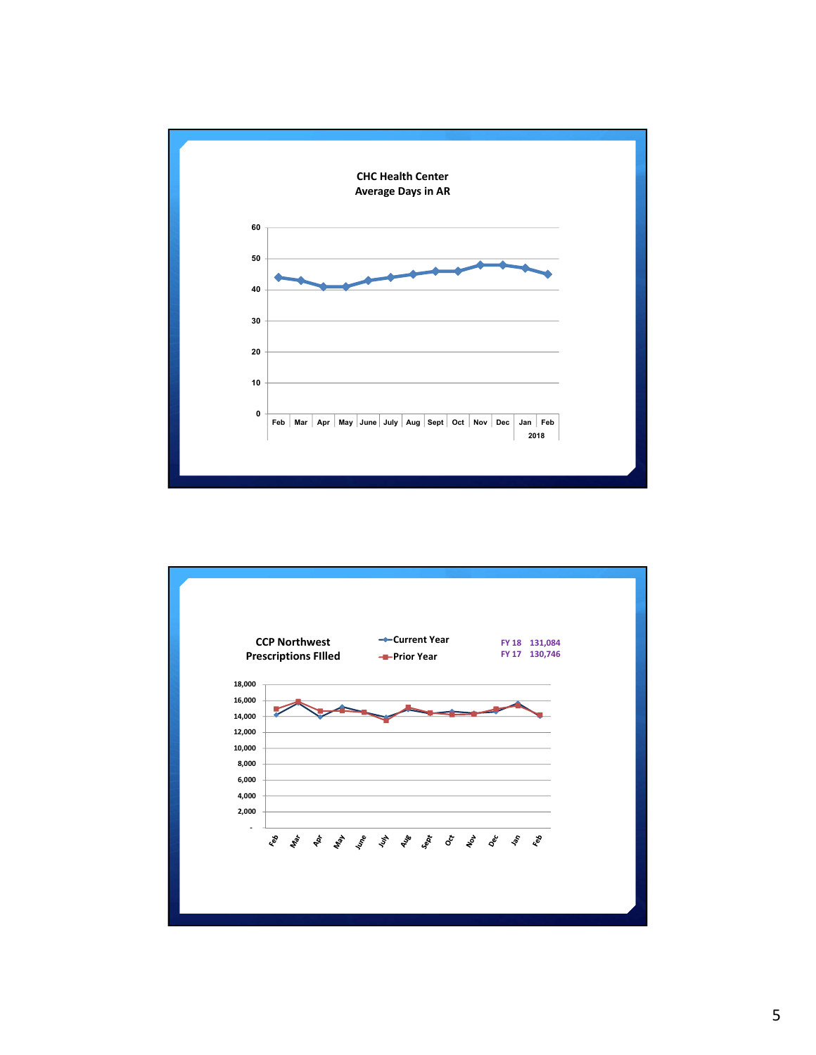

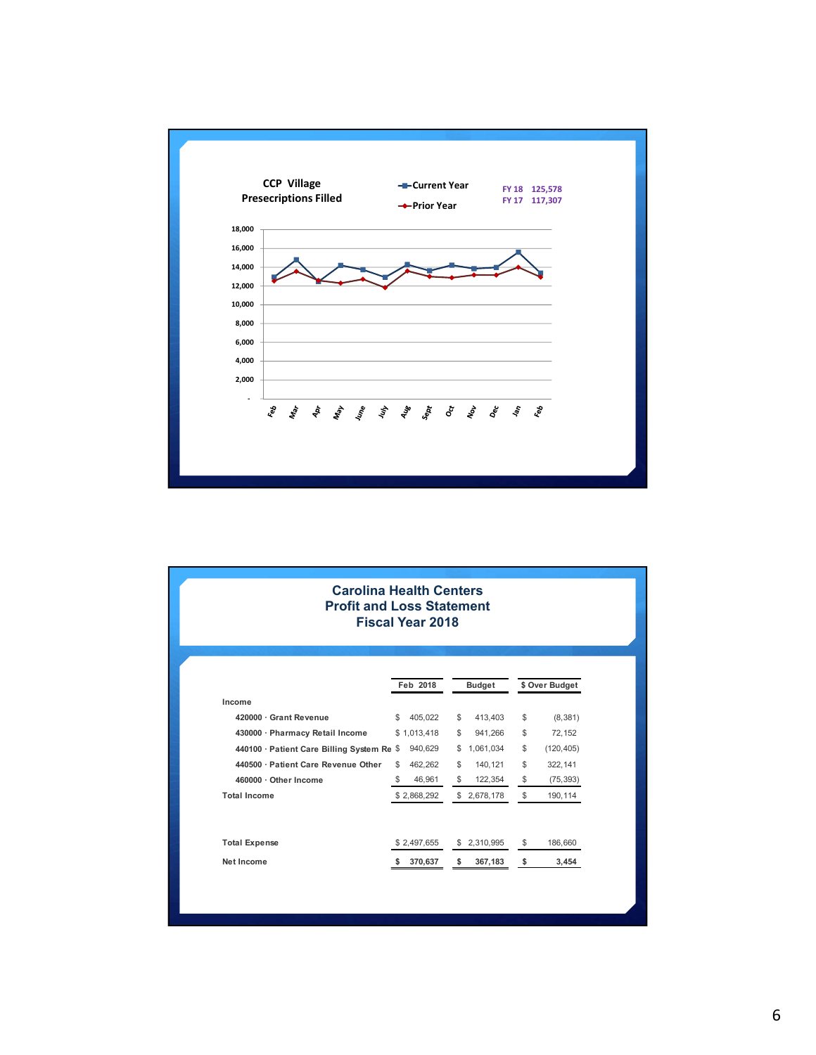

| <b>Carolina Health Centers</b><br><b>Profit and Loss Statement</b><br><b>Fiscal Year 2018</b> |               |              |               |           |                  |
|-----------------------------------------------------------------------------------------------|---------------|--------------|---------------|-----------|------------------|
|                                                                                               | Feb 2018      |              | <b>Budget</b> |           | \$ Over Budget   |
| Income                                                                                        |               |              |               |           |                  |
| 420000 · Grant Revenue                                                                        | 405,022<br>\$ | \$           |               | 413,403   | \$<br>(8,381)    |
| 430000 · Pharmacy Retail Income                                                               | \$1,013,418   | \$           |               | 941,266   | \$<br>72,152     |
| 440100 · Patient Care Billing System Re \$                                                    | 940,629       | \$           |               | 1,061,034 | \$<br>(120, 405) |
| 440500 · Patient Care Revenue Other                                                           | 462,262<br>\$ | \$           |               | 140, 121  | \$<br>322,141    |
| 460000 · Other Income                                                                         | \$            | 46,961<br>\$ |               | 122,354   | \$<br>(75, 393)  |
| <b>Total Income</b>                                                                           | \$2,868,292   |              | \$2,678,178   |           | \$<br>190,114    |
| <b>Total Expense</b>                                                                          | \$2,497,655   |              | \$2,310,995   |           | \$<br>186,660    |
| Net Income                                                                                    | 370,637<br>s. | \$           |               | 367,183   | \$<br>3,454      |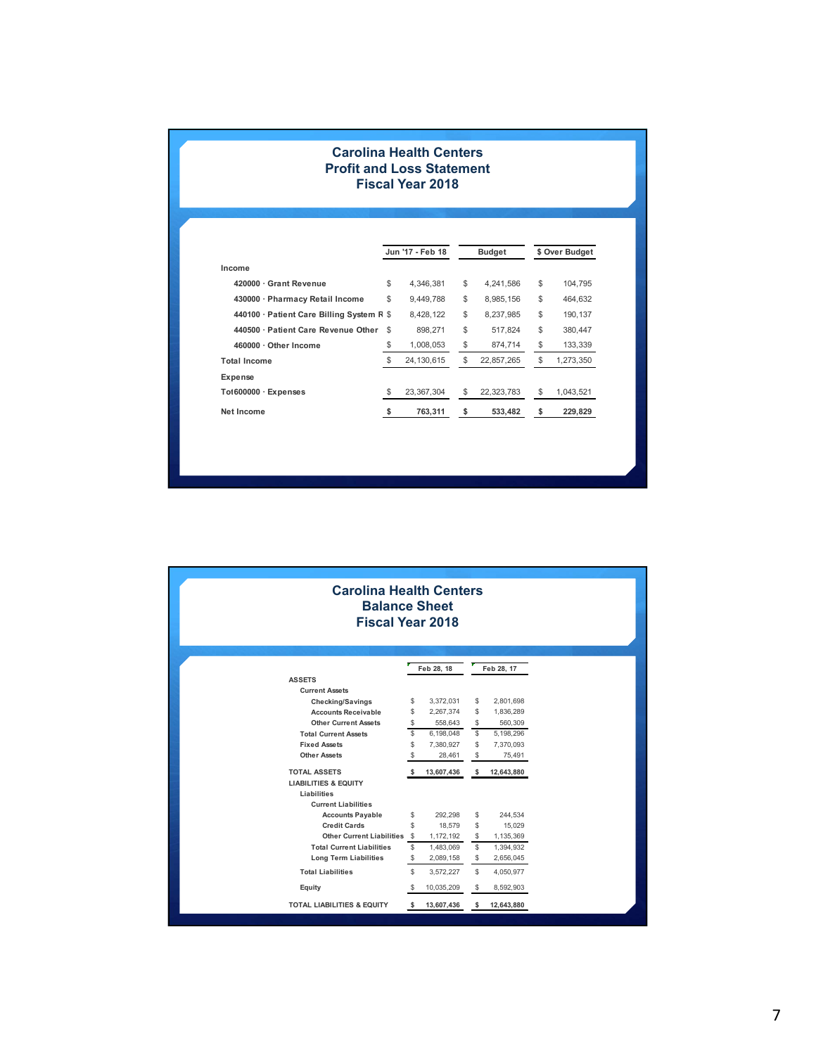## **Carolina Health Centers Profit and Loss Statement Fiscal Year 2018**

|                                           |      | Jun '17 - Feb 18 | <b>Budget</b>    | \$ Over Budget  |
|-------------------------------------------|------|------------------|------------------|-----------------|
| Income                                    |      |                  |                  |                 |
| 420000 · Grant Revenue                    | \$   | 4.346.381        | \$<br>4.241.586  | \$<br>104.795   |
| 430000 · Pharmacy Retail Income           | \$   | 9.449.788        | \$<br>8.985.156  | \$<br>464.632   |
| 440100 · Patient Care Billing System R \$ |      | 8,428,122        | \$<br>8.237.985  | \$<br>190.137   |
| 440500 · Patient Care Revenue Other       | \$   | 898.271          | \$<br>517.824    | \$<br>380.447   |
| 460000 · Other Income                     | \$   | 1,008,053        | \$<br>874,714    | \$<br>133,339   |
| <b>Total Income</b>                       | \$   | 24, 130, 615     | \$<br>22,857,265 | \$<br>1,273,350 |
| Expense                                   |      |                  |                  |                 |
| To1600000 · Expenses                      | \$   | 23.367.304       | \$<br>22,323,783 | \$<br>1,043,521 |
| Net Income                                | - \$ | 763,311          | \$<br>533,482    | \$<br>229,829   |

| <b>Carolina Health Centers</b><br><b>Balance Sheet</b><br><b>Fiscal Year 2018</b> |            |            |               |            |  |  |
|-----------------------------------------------------------------------------------|------------|------------|---------------|------------|--|--|
|                                                                                   | Feb 28, 18 |            | Feb 28, 17    |            |  |  |
| <b>ASSETS</b>                                                                     |            |            |               |            |  |  |
| <b>Current Assets</b>                                                             |            |            |               |            |  |  |
| <b>Checking/Savings</b>                                                           | \$         | 3,372,031  | S             | 2,801,698  |  |  |
| <b>Accounts Receivable</b>                                                        | \$         | 2,267,374  | \$            | 1,836,289  |  |  |
| <b>Other Current Assets</b>                                                       | \$         | 558,643    | \$            | 560,309    |  |  |
| <b>Total Current Assets</b>                                                       | \$         | 6,198,048  | ${\mathbb S}$ | 5,198,296  |  |  |
| <b>Fixed Assets</b>                                                               | \$         | 7,380,927  | S             | 7,370,093  |  |  |
| <b>Other Assets</b>                                                               | S          | 28,461     | \$            | 75,491     |  |  |
| <b>TOTAL ASSETS</b>                                                               |            | 13,607,436 | \$            | 12,643,880 |  |  |
| <b>LIABILITIES &amp; EQUITY</b>                                                   |            |            |               |            |  |  |
| Liabilities                                                                       |            |            |               |            |  |  |
| <b>Current Liabilities</b>                                                        |            |            |               |            |  |  |
| <b>Accounts Payable</b>                                                           | \$         | 292,298    | \$            | 244,534    |  |  |
| <b>Credit Cards</b>                                                               | \$         | 18,579     | \$            | 15,029     |  |  |
| <b>Other Current Liabilities</b>                                                  | \$         | 1,172,192  | \$            | 1,135,369  |  |  |
| <b>Total Current Liabilities</b>                                                  | \$         | 1,483,069  | S             | 1,394,932  |  |  |
| <b>Long Term Liabilities</b>                                                      | \$         | 2,089,158  | \$            | 2,656,045  |  |  |
| <b>Total Liabilities</b>                                                          | \$         | 3,572,227  | \$            | 4,050,977  |  |  |
| Equity                                                                            | \$         | 10,035,209 | S             | 8,592,903  |  |  |
| <b>TOTAL LIABILITIES &amp; EQUITY</b>                                             | s          | 13,607,436 | s             | 12,643,880 |  |  |